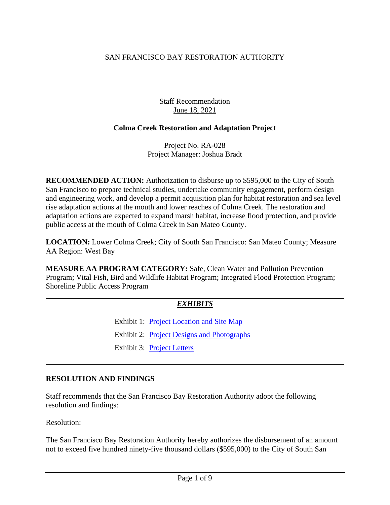### SAN FRANCISCO BAY RESTORATION AUTHORITY

Staff Recommendation June 18, 2021

#### **Colma Creek Restoration and Adaptation Project**

Project No. RA-028 Project Manager: Joshua Bradt

**RECOMMENDED ACTION:** Authorization to disburse up to \$595,000 to the City of South San Francisco to prepare technical studies, undertake community engagement, perform design and engineering work, and develop a permit acquisition plan for habitat restoration and sea level rise adaptation actions at the mouth and lower reaches of Colma Creek. The restoration and adaptation actions are expected to expand marsh habitat, increase flood protection, and provide public access at the mouth of Colma Creek in San Mateo County.

**LOCATION:** Lower Colma Creek; City of South San Francisco: San Mateo County; Measure AA Region: West Bay

**MEASURE AA PROGRAM CATEGORY:** Safe, Clean Water and Pollution Prevention Program; Vital Fish, Bird and Wildlife Habitat Program; Integrated Flood Protection Program; Shoreline Public Access Program

#### *EXHIBITS*

Exhibit 1: [Project Location and Site Map](https://www.sfbayrestore.org/sites/default/files/2021-06/Item%2014_Colma%20Creek_Ex1.pdf)

Exhibit 2: [Project Designs and Photographs](https://www.sfbayrestore.org/sites/default/files/2021-06/Item%2014_Colma%20Creek_Ex2.pdf)

Exhibit 3: [Project Letters](https://www.sfbayrestore.org/sites/default/files/2021-06/Item%2014_Colma%20Creek_Ex3.pdf)

#### **RESOLUTION AND FINDINGS**

Staff recommends that the San Francisco Bay Restoration Authority adopt the following resolution and findings:

Resolution:

The San Francisco Bay Restoration Authority hereby authorizes the disbursement of an amount not to exceed five hundred ninety-five thousand dollars (\$595,000) to the City of South San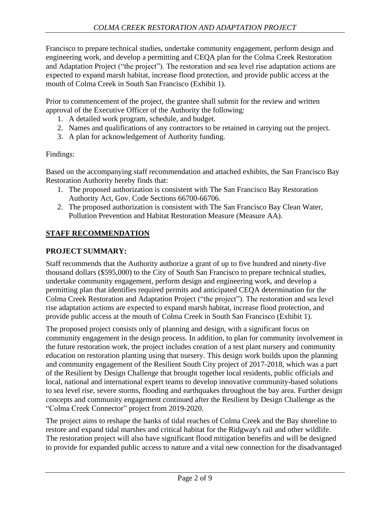Francisco to prepare technical studies, undertake community engagement, perform design and engineering work, and develop a permitting and CEQA plan for the Colma Creek Restoration and Adaptation Project ("the project"). The restoration and sea level rise adaptation actions are expected to expand marsh habitat, increase flood protection, and provide public access at the mouth of Colma Creek in South San Francisco (Exhibit 1).

Prior to commencement of the project, the grantee shall submit for the review and written approval of the Executive Officer of the Authority the following:

- 1. A detailed work program, schedule, and budget.
- 2. Names and qualifications of any contractors to be retained in carrying out the project.
- 3. A plan for acknowledgement of Authority funding.

Findings:

Based on the accompanying staff recommendation and attached exhibits, the San Francisco Bay Restoration Authority hereby finds that:

- 1. The proposed authorization is consistent with The San Francisco Bay Restoration Authority Act, Gov. Code Sections 66700-66706.
- 2. The proposed authorization is consistent with The San Francisco Bay Clean Water, Pollution Prevention and Habitat Restoration Measure (Measure AA).

## **STAFF RECOMMENDATION**

## **PROJECT SUMMARY:**

Staff recommends that the Authority authorize a grant of up to five hundred and ninety-five thousand dollars (\$595,000) to the City of South San Francisco to prepare technical studies, undertake community engagement, perform design and engineering work, and develop a permitting plan that identifies required permits and anticipated CEQA determination for the Colma Creek Restoration and Adaptation Project ("the project"). The restoration and sea level rise adaptation actions are expected to expand marsh habitat, increase flood protection, and provide public access at the mouth of Colma Creek in South San Francisco (Exhibit 1).

The proposed project consists only of planning and design, with a significant focus on community engagement in the design process. In addition, to plan for community involvement in the future restoration work, the project includes creation of a test plant nursery and community education on restoration planting using that nursery. This design work builds upon the planning and community engagement of the Resilient South City project of 2017-2018, which was a part of the Resilient by Design Challenge that brought together local residents, public officials and local, national and international expert teams to develop innovative community-based solutions to sea level rise, severe storms, flooding and earthquakes throughout the bay area. Further design concepts and community engagement continued after the Resilient by Design Challenge as the "Colma Creek Connector" project from 2019-2020.

The project aims to reshape the banks of tidal reaches of Colma Creek and the Bay shoreline to restore and expand tidal marshes and critical habitat for the Ridgway's rail and other wildlife. The restoration project will also have significant flood mitigation benefits and will be designed to provide for expanded public access to nature and a vital new connection for the disadvantaged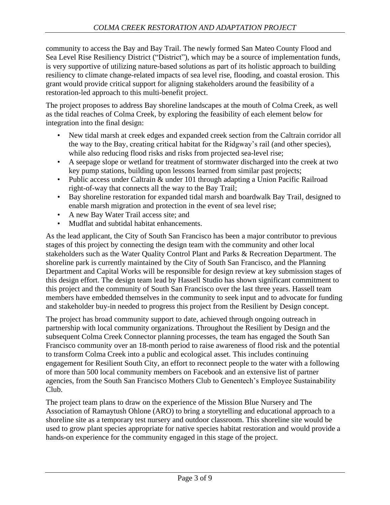community to access the Bay and Bay Trail. The newly formed San Mateo County Flood and Sea Level Rise Resiliency District ("District"), which may be a source of implementation funds, is very supportive of utilizing nature-based solutions as part of its holistic approach to building resiliency to climate change-related impacts of sea level rise, flooding, and coastal erosion. This grant would provide critical support for aligning stakeholders around the feasibility of a restoration-led approach to this multi-benefit project.

The project proposes to address Bay shoreline landscapes at the mouth of Colma Creek, as well as the tidal reaches of Colma Creek, by exploring the feasibility of each element below for integration into the final design:

- New tidal marsh at creek edges and expanded creek section from the Caltrain corridor all the way to the Bay, creating critical habitat for the Ridgway's rail (and other species), while also reducing flood risks and risks from projected sea-level rise;
- A seepage slope or wetland for treatment of stormwater discharged into the creek at two key pump stations, building upon lessons learned from similar past projects;
- Public access under Caltrain & under 101 through adapting a Union Pacific Railroad right-of-way that connects all the way to the Bay Trail;
- Bay shoreline restoration for expanded tidal marsh and boardwalk Bay Trail, designed to enable marsh migration and protection in the event of sea level rise;
- A new Bay Water Trail access site; and
- Mudflat and subtidal habitat enhancements.

As the lead applicant, the City of South San Francisco has been a major contributor to previous stages of this project by connecting the design team with the community and other local stakeholders such as the Water Quality Control Plant and Parks & Recreation Department. The shoreline park is currently maintained by the City of South San Francisco, and the Planning Department and Capital Works will be responsible for design review at key submission stages of this design effort. The design team lead by Hassell Studio has shown significant commitment to this project and the community of South San Francisco over the last three years. Hassell team members have embedded themselves in the community to seek input and to advocate for funding and stakeholder buy-in needed to progress this project from the Resilient by Design concept.

The project has broad community support to date, achieved through ongoing outreach in partnership with local community organizations. Throughout the Resilient by Design and the subsequent Colma Creek Connector planning processes, the team has engaged the South San Francisco community over an 18-month period to raise awareness of flood risk and the potential to transform Colma Creek into a public and ecological asset. This includes continuing engagement for Resilient South City, an effort to reconnect people to the water with a following of more than 500 local community members on Facebook and an extensive list of partner agencies, from the South San Francisco Mothers Club to Genentech's Employee Sustainability Club.

The project team plans to draw on the experience of the Mission Blue Nursery and The Association of Ramaytush Ohlone (ARO) to bring a storytelling and educational approach to a shoreline site as a temporary test nursery and outdoor classroom. This shoreline site would be used to grow plant species appropriate for native species habitat restoration and would provide a hands-on experience for the community engaged in this stage of the project.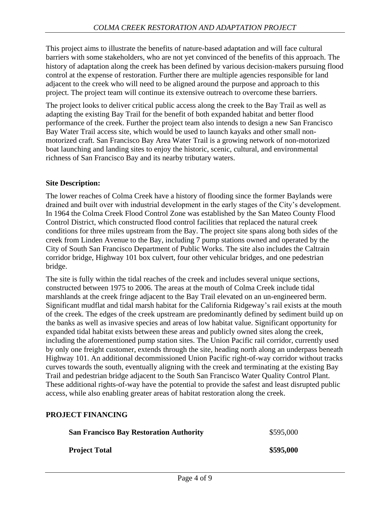This project aims to illustrate the benefits of nature-based adaptation and will face cultural barriers with some stakeholders, who are not yet convinced of the benefits of this approach. The history of adaptation along the creek has been defined by various decision-makers pursuing flood control at the expense of restoration. Further there are multiple agencies responsible for land adjacent to the creek who will need to be aligned around the purpose and approach to this project. The project team will continue its extensive outreach to overcome these barriers.

The project looks to deliver critical public access along the creek to the Bay Trail as well as adapting the existing Bay Trail for the benefit of both expanded habitat and better flood performance of the creek. Further the project team also intends to design a new San Francisco Bay Water Trail access site, which would be used to launch kayaks and other small nonmotorized craft. San Francisco Bay Area Water Trail is a growing network of non-motorized boat launching and landing sites to enjoy the historic, scenic, cultural, and environmental richness of San Francisco Bay and its nearby tributary waters.

#### **Site Description:**

The lower reaches of Colma Creek have a history of flooding since the former Baylands were drained and built over with industrial development in the early stages of the City's development. In 1964 the Colma Creek Flood Control Zone was established by the San Mateo County Flood Control District, which constructed flood control facilities that replaced the natural creek conditions for three miles upstream from the Bay. The project site spans along both sides of the creek from Linden Avenue to the Bay, including 7 pump stations owned and operated by the City of South San Francisco Department of Public Works. The site also includes the Caltrain corridor bridge, Highway 101 box culvert, four other vehicular bridges, and one pedestrian bridge.

The site is fully within the tidal reaches of the creek and includes several unique sections, constructed between 1975 to 2006. The areas at the mouth of Colma Creek include tidal marshlands at the creek fringe adjacent to the Bay Trail elevated on an un-engineered berm. Significant mudflat and tidal marsh habitat for the California Ridgeway's rail exists at the mouth of the creek. The edges of the creek upstream are predominantly defined by sediment build up on the banks as well as invasive species and areas of low habitat value. Significant opportunity for expanded tidal habitat exists between these areas and publicly owned sites along the creek, including the aforementioned pump station sites. The Union Pacific rail corridor, currently used by only one freight customer, extends through the site, heading north along an underpass beneath Highway 101. An additional decommissioned Union Pacific right-of-way corridor without tracks curves towards the south, eventually aligning with the creek and terminating at the existing Bay Trail and pedestrian bridge adjacent to the South San Francisco Water Quality Control Plant. These additional rights-of-way have the potential to provide the safest and least disrupted public access, while also enabling greater areas of habitat restoration along the creek.

#### **PROJECT FINANCING**

| <b>San Francisco Bay Restoration Authority</b> | \$595,000 |
|------------------------------------------------|-----------|
| <b>Project Total</b>                           | \$595,000 |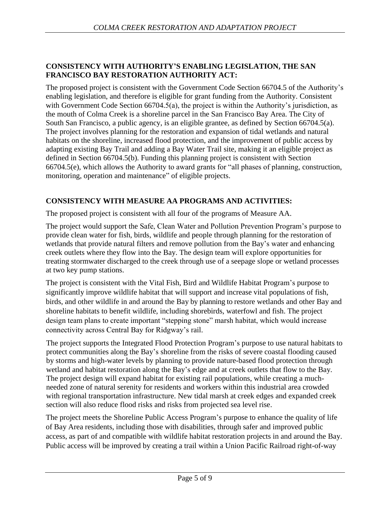## **CONSISTENCY WITH AUTHORITY'S ENABLING LEGISLATION, THE SAN FRANCISCO BAY RESTORATION AUTHORITY ACT:**

The proposed project is consistent with the Government Code Section 66704.5 of the Authority's enabling legislation, and therefore is eligible for grant funding from the Authority. Consistent with Government Code Section 66704.5(a), the project is within the Authority's jurisdiction, as the mouth of Colma Creek is a shoreline parcel in the San Francisco Bay Area. The City of South San Francisco, a public agency, is an eligible grantee, as defined by Section 66704.5(a). The project involves planning for the restoration and expansion of tidal wetlands and natural habitats on the shoreline, increased flood protection, and the improvement of public access by adapting existing Bay Trail and adding a Bay Water Trail site, making it an eligible project as defined in Section 66704.5(b). Funding this planning project is consistent with Section 66704.5(e), which allows the Authority to award grants for "all phases of planning, construction, monitoring, operation and maintenance" of eligible projects.

## **CONSISTENCY WITH MEASURE AA PROGRAMS AND ACTIVITIES:**

The proposed project is consistent with all four of the programs of Measure AA.

The project would support the Safe, Clean Water and Pollution Prevention Program's purpose to provide clean water for fish, birds, wildlife and people through planning for the restoration of wetlands that provide natural filters and remove pollution from the Bay's water and enhancing creek outlets where they flow into the Bay. The design team will explore opportunities for treating stormwater discharged to the creek through use of a seepage slope or wetland processes at two key pump stations.

The project is consistent with the Vital Fish, Bird and Wildlife Habitat Program's purpose to significantly improve wildlife habitat that will support and increase vital populations of fish, birds, and other wildlife in and around the Bay by planning to restore wetlands and other Bay and shoreline habitats to benefit wildlife, including shorebirds, waterfowl and fish. The project design team plans to create important "stepping stone" marsh habitat, which would increase connectivity across Central Bay for Ridgway's rail.

The project supports the Integrated Flood Protection Program's purpose to use natural habitats to protect communities along the Bay's shoreline from the risks of severe coastal flooding caused by storms and high-water levels by planning to provide nature-based flood protection through wetland and habitat restoration along the Bay's edge and at creek outlets that flow to the Bay. The project design will expand habitat for existing rail populations, while creating a muchneeded zone of natural serenity for residents and workers within this industrial area crowded with regional transportation infrastructure. New tidal marsh at creek edges and expanded creek section will also reduce flood risks and risks from projected sea level rise.

The project meets the Shoreline Public Access Program's purpose to enhance the quality of life of Bay Area residents, including those with disabilities, through safer and improved public access, as part of and compatible with wildlife habitat restoration projects in and around the Bay. Public access will be improved by creating a trail within a Union Pacific Railroad right-of-way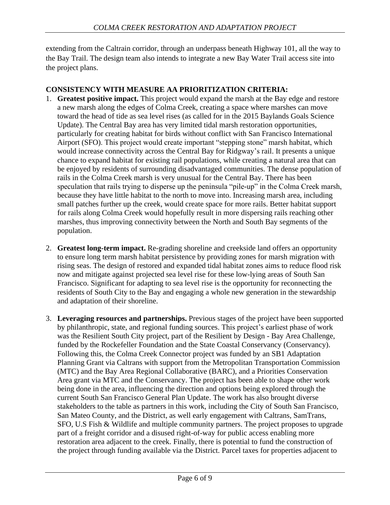extending from the Caltrain corridor, through an underpass beneath Highway 101, all the way to the Bay Trail. The design team also intends to integrate a new Bay Water Trail access site into the project plans.

## **CONSISTENCY WITH MEASURE AA PRIORITIZATION CRITERIA:**

- 1. **Greatest positive impact.** This project would expand the marsh at the Bay edge and restore a new marsh along the edges of Colma Creek, creating a space where marshes can move toward the head of tide as sea level rises (as called for in the 2015 Baylands Goals Science Update). The Central Bay area has very limited tidal marsh restoration opportunities, particularly for creating habitat for birds without conflict with San Francisco International Airport (SFO). This project would create important "stepping stone" marsh habitat, which would increase connectivity across the Central Bay for Ridgway's rail. It presents a unique chance to expand habitat for existing rail populations, while creating a natural area that can be enjoyed by residents of surrounding disadvantaged communities. The dense population of rails in the Colma Creek marsh is very unusual for the Central Bay. There has been speculation that rails trying to disperse up the peninsula "pile-up" in the Colma Creek marsh, because they have little habitat to the north to move into. Increasing marsh area, including small patches further up the creek, would create space for more rails. Better habitat support for rails along Colma Creek would hopefully result in more dispersing rails reaching other marshes, thus improving connectivity between the North and South Bay segments of the population.
- 2. **Greatest long-term impact.** Re-grading shoreline and creekside land offers an opportunity to ensure long term marsh habitat persistence by providing zones for marsh migration with rising seas. The design of restored and expanded tidal habitat zones aims to reduce flood risk now and mitigate against projected sea level rise for these low-lying areas of South San Francisco. Significant for adapting to sea level rise is the opportunity for reconnecting the residents of South City to the Bay and engaging a whole new generation in the stewardship and adaptation of their shoreline.
- 3. **Leveraging resources and partnerships.** Previous stages of the project have been supported by philanthropic, state, and regional funding sources. This project's earliest phase of work was the Resilient South City project, part of the Resilient by Design - Bay Area Challenge, funded by the Rockefeller Foundation and the State Coastal Conservancy (Conservancy). Following this, the Colma Creek Connector project was funded by an SB1 Adaptation Planning Grant via Caltrans with support from the Metropolitan Transportation Commission (MTC) and the Bay Area Regional Collaborative (BARC), and a Priorities Conservation Area grant via MTC and the Conservancy. The project has been able to shape other work being done in the area, influencing the direction and options being explored through the current South San Francisco General Plan Update. The work has also brought diverse stakeholders to the table as partners in this work, including the City of South San Francisco, San Mateo County, and the District, as well early engagement with Caltrans, SamTrans, SFO, U.S Fish & Wildlife and multiple community partners. The project proposes to upgrade part of a freight corridor and a disused right-of-way for public access enabling more restoration area adjacent to the creek. Finally, there is potential to fund the construction of the project through funding available via the District. Parcel taxes for properties adjacent to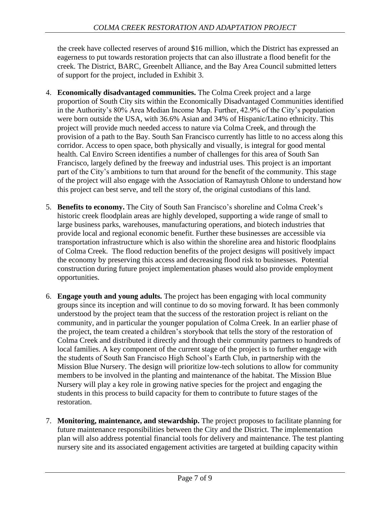the creek have collected reserves of around \$16 million, which the District has expressed an eagerness to put towards restoration projects that can also illustrate a flood benefit for the creek. The District, BARC, Greenbelt Alliance, and the Bay Area Council submitted letters of support for the project, included in Exhibit 3.

- 4. **Economically disadvantaged communities.** The Colma Creek project and a large proportion of South City sits within the Economically Disadvantaged Communities identified in the Authority's 80% Area Median Income Map. Further, 42.9% of the City's population were born outside the USA, with 36.6% Asian and 34% of Hispanic/Latino ethnicity. This project will provide much needed access to nature via Colma Creek, and through the provision of a path to the Bay. South San Francisco currently has little to no access along this corridor. Access to open space, both physically and visually, is integral for good mental health. Cal Enviro Screen identifies a number of challenges for this area of South San Francisco, largely defined by the freeway and industrial uses. This project is an important part of the City's ambitions to turn that around for the benefit of the community. This stage of the project will also engage with the Association of Ramaytush Ohlone to understand how this project can best serve, and tell the story of, the original custodians of this land.
- 5. **Benefits to economy.** The City of South San Francisco's shoreline and Colma Creek's historic creek floodplain areas are highly developed, supporting a wide range of small to large business parks, warehouses, manufacturing operations, and biotech industries that provide local and regional economic benefit. Further these businesses are accessible via transportation infrastructure which is also within the shoreline area and historic floodplains of Colma Creek. The flood reduction benefits of the project designs will positively impact the economy by preserving this access and decreasing flood risk to businesses. Potential construction during future project implementation phases would also provide employment opportunities.
- 6. **Engage youth and young adults.** The project has been engaging with local community groups since its inception and will continue to do so moving forward. It has been commonly understood by the project team that the success of the restoration project is reliant on the community, and in particular the younger population of Colma Creek. In an earlier phase of the project, the team created a children's storybook that tells the story of the restoration of Colma Creek and distributed it directly and through their community partners to hundreds of local families. A key component of the current stage of the project is to further engage with the students of South San Francisco High School's Earth Club, in partnership with the Mission Blue Nursery. The design will prioritize low-tech solutions to allow for community members to be involved in the planting and maintenance of the habitat. The Mission Blue Nursery will play a key role in growing native species for the project and engaging the students in this process to build capacity for them to contribute to future stages of the restoration.
- 7. **Monitoring, maintenance, and stewardship.** The project proposes to facilitate planning for future maintenance responsibilities between the City and the District. The implementation plan will also address potential financial tools for delivery and maintenance. The test planting nursery site and its associated engagement activities are targeted at building capacity within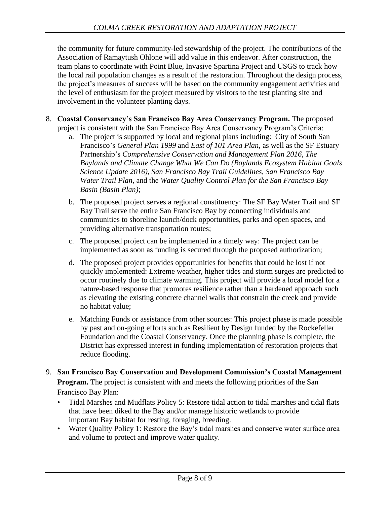the community for future community-led stewardship of the project. The contributions of the Association of Ramaytush Ohlone will add value in this endeavor. After construction, the team plans to coordinate with Point Blue, Invasive Spartina Project and USGS to track how the local rail population changes as a result of the restoration. Throughout the design process, the project's measures of success will be based on the community engagement activities and the level of enthusiasm for the project measured by visitors to the test planting site and involvement in the volunteer planting days.

- 8. **Coastal Conservancy's San Francisco Bay Area Conservancy Program.** The proposed project is consistent with the San Francisco Bay Area Conservancy Program's Criteria:
	- a. The project is supported by local and regional plans including: City of South San Francisco's *General Plan 1999* and *East of 101 Area Plan*, as well as the SF Estuary Partnership's *Comprehensive Conservation and Management Plan 2016, The Baylands and Climate Change What We Can Do (Baylands Ecosystem Habitat Goals Science Update 2016), San Francisco Bay Trail Guidelines, San Francisco Bay Water Trail Plan,* and the *Water Quality Control Plan for the San Francisco Bay Basin (Basin Plan)*;
	- b. The proposed project serves a regional constituency: The SF Bay Water Trail and SF Bay Trail serve the entire San Francisco Bay by connecting individuals and communities to shoreline launch/dock opportunities, parks and open spaces, and providing alternative transportation routes;
	- c. The proposed project can be implemented in a timely way: The project can be implemented as soon as funding is secured through the proposed authorization;
	- d. The proposed project provides opportunities for benefits that could be lost if not quickly implemented: Extreme weather, higher tides and storm surges are predicted to occur routinely due to climate warming. This project will provide a local model for a nature-based response that promotes resilience rather than a hardened approach such as elevating the existing concrete channel walls that constrain the creek and provide no habitat value;
	- e. Matching Funds or assistance from other sources: This project phase is made possible by past and on-going efforts such as Resilient by Design funded by the Rockefeller Foundation and the Coastal Conservancy. Once the planning phase is complete, the District has expressed interest in funding implementation of restoration projects that reduce flooding.
- 9. **San Francisco Bay Conservation and Development Commission's Coastal Management Program.** The project is consistent with and meets the following priorities of the San Francisco Bay Plan:
	- Tidal Marshes and Mudflats Policy 5: Restore tidal action to tidal marshes and tidal flats that have been diked to the Bay and/or manage historic wetlands to provide important Bay habitat for resting, foraging, breeding.
	- Water Quality Policy 1: Restore the Bay's tidal marshes and conserve water surface area and volume to protect and improve water quality.